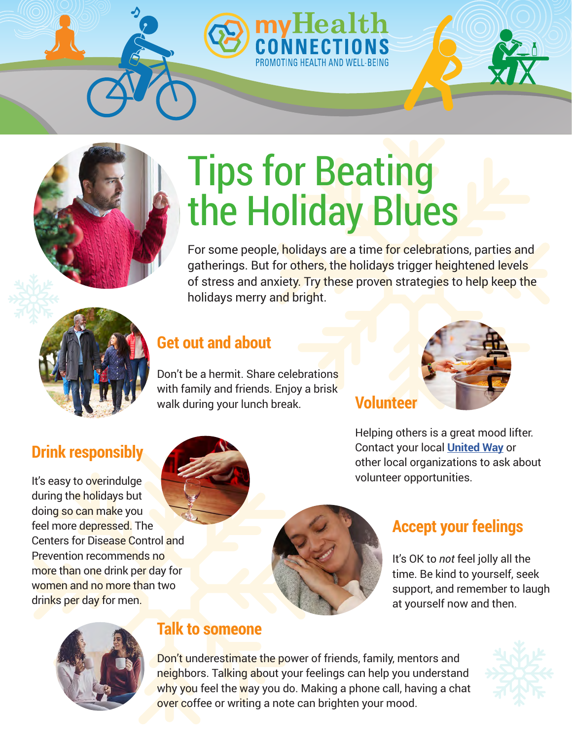## Tips for Beating the Holiday Blues

myHealth

For some people, holidays are a time for celebrations, parties and gatherings. But for others, the holidays trigger heightened levels of stress and anxiety. Try these proven strategies to help keep the holidays merry and bright.

## **Get out and about**

Don't be a hermit. Share celebrations with family and friends. Enjoy a brisk walk during your lunch break.

# **Volunteer**

Helping others is a great mood lifter. Contact your local **[United Way](https://www.unitedway.org/)** or other local organizations to ask about volunteer opportunities.

## **Accept your feelings**

It's OK to *not* feel jolly all the time. Be kind to yourself, seek support, and remember to laugh at yourself now and then.



Prevention recommends no

women and no more than two

drinks per day for men.

#### **Talk to someone**

Don't underestimate the power of friends, family, mentors and neighbors. Talking about your feelings can help you understand why you feel the way you do. Making a phone call, having a chat over coffee or writing a note can brighten your mood.





It's easy to overindulge during the holidays but doing so can make you feel more depressed. The

**Drink responsibly**